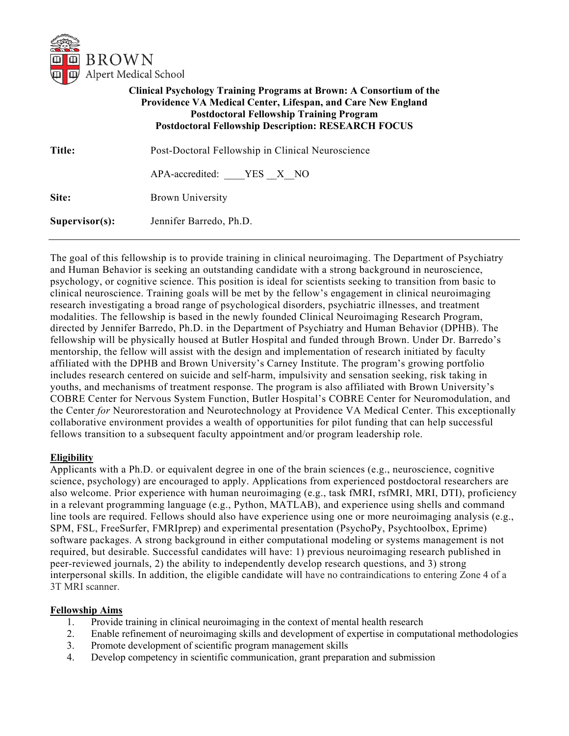

# **Clinical Psychology Training Programs at Brown: A Consortium of the Providence VA Medical Center, Lifespan, and Care New England Postdoctoral Fellowship Training Program Postdoctoral Fellowship Description: RESEARCH FOCUS**

| Title:            | Post-Doctoral Fellowship in Clinical Neuroscience |
|-------------------|---------------------------------------------------|
|                   | APA-accredited: YES X NO                          |
| Site:             | <b>Brown University</b>                           |
| $Supervisor(s)$ : | Jennifer Barredo, Ph.D.                           |

The goal of this fellowship is to provide training in clinical neuroimaging. The Department of Psychiatry and Human Behavior is seeking an outstanding candidate with a strong background in neuroscience, psychology, or cognitive science. This position is ideal for scientists seeking to transition from basic to clinical neuroscience. Training goals will be met by the fellow's engagement in clinical neuroimaging research investigating a broad range of psychological disorders, psychiatric illnesses, and treatment modalities. The fellowship is based in the newly founded Clinical Neuroimaging Research Program, directed by Jennifer Barredo, Ph.D. in the Department of Psychiatry and Human Behavior (DPHB). The fellowship will be physically housed at Butler Hospital and funded through Brown. Under Dr. Barredo's mentorship, the fellow will assist with the design and implementation of research initiated by faculty affiliated with the DPHB and Brown University's Carney Institute. The program's growing portfolio includes research centered on suicide and self-harm, impulsivity and sensation seeking, risk taking in youths, and mechanisms of treatment response. The program is also affiliated with Brown University's COBRE Center for Nervous System Function, Butler Hospital's COBRE Center for Neuromodulation, and the Center *for* Neurorestoration and Neurotechnology at Providence VA Medical Center. This exceptionally collaborative environment provides a wealth of opportunities for pilot funding that can help successful fellows transition to a subsequent faculty appointment and/or program leadership role.

### **Eligibility**

Applicants with a Ph.D. or equivalent degree in one of the brain sciences (e.g., neuroscience, cognitive science, psychology) are encouraged to apply. Applications from experienced postdoctoral researchers are also welcome. Prior experience with human neuroimaging (e.g., task fMRI, rsfMRI, MRI, DTI), proficiency in a relevant programming language (e.g., Python, MATLAB), and experience using shells and command line tools are required. Fellows should also have experience using one or more neuroimaging analysis (e.g., SPM, FSL, FreeSurfer, FMRIprep) and experimental presentation (PsychoPy, Psychtoolbox, Eprime) software packages. A strong background in either computational modeling or systems management is not required, but desirable. Successful candidates will have: 1) previous neuroimaging research published in peer-reviewed journals, 2) the ability to independently develop research questions, and 3) strong interpersonal skills. In addition, the eligible candidate will have no contraindications to entering Zone 4 of a 3T MRI scanner.

### **Fellowship Aims**

- 1. Provide training in clinical neuroimaging in the context of mental health research
- 2. Enable refinement of neuroimaging skills and development of expertise in computational methodologies
- 3. Promote development of scientific program management skills
- 4. Develop competency in scientific communication, grant preparation and submission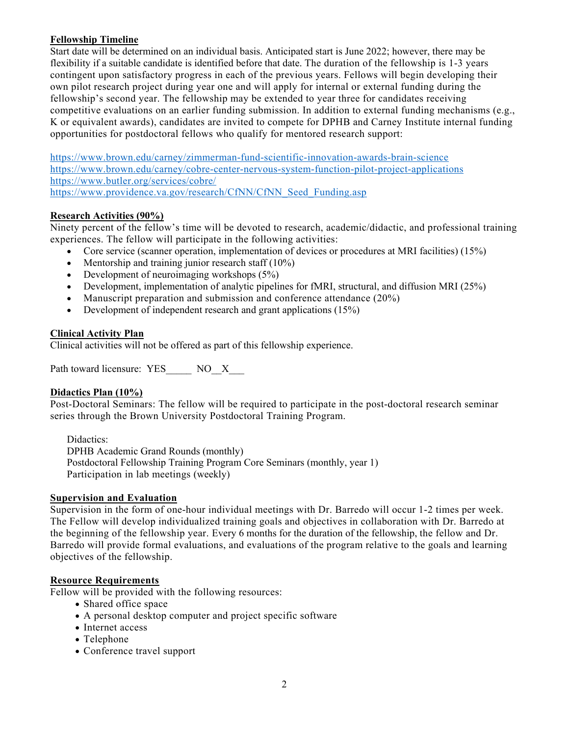## **Fellowship Timeline**

Start date will be determined on an individual basis. Anticipated start is June 2022; however, there may be flexibility if a suitable candidate is identified before that date. The duration of the fellowship is 1-3 years contingent upon satisfactory progress in each of the previous years. Fellows will begin developing their own pilot research project during year one and will apply for internal or external funding during the fellowship's second year. The fellowship may be extended to year three for candidates receiving competitive evaluations on an earlier funding submission. In addition to external funding mechanisms (e.g., K or equivalent awards), candidates are invited to compete for DPHB and Carney Institute internal funding opportunities for postdoctoral fellows who qualify for mentored research support:

<https://www.brown.edu/carney/zimmerman-fund-scientific-innovation-awards-brain-science> <https://www.brown.edu/carney/cobre-center-nervous-system-function-pilot-project-applications> <https://www.butler.org/services/cobre/> [https://www.providence.va.gov/research/CfNN/CfNN\\_Seed\\_Funding.asp](https://www.providence.va.gov/research/CfNN/CfNN_Seed_Funding.asp)

## **Research Activities (90%)**

Ninety percent of the fellow's time will be devoted to research, academic/didactic, and professional training experiences. The fellow will participate in the following activities:

- Core service (scanner operation, implementation of devices or procedures at MRI facilities) (15%)
- Mentorship and training junior research staff  $(10\%)$
- Development of neuroimaging workshops (5%)
- Development, implementation of analytic pipelines for fMRI, structural, and diffusion MRI (25%)
- Manuscript preparation and submission and conference attendance (20%)
- Development of independent research and grant applications (15%)

### **Clinical Activity Plan**

Clinical activities will not be offered as part of this fellowship experience.

Path toward licensure: YES NO\_X

### **Didactics Plan (10%)**

Post-Doctoral Seminars: The fellow will be required to participate in the post-doctoral research seminar series through the Brown University Postdoctoral Training Program.

Didactics: DPHB Academic Grand Rounds (monthly) Postdoctoral Fellowship Training Program Core Seminars (monthly, year 1) Participation in lab meetings (weekly)

### **Supervision and Evaluation**

Supervision in the form of one-hour individual meetings with Dr. Barredo will occur 1-2 times per week. The Fellow will develop individualized training goals and objectives in collaboration with Dr. Barredo at the beginning of the fellowship year. Every 6 months for the duration of the fellowship, the fellow and Dr. Barredo will provide formal evaluations, and evaluations of the program relative to the goals and learning objectives of the fellowship.

### **Resource Requirements**

Fellow will be provided with the following resources:

- Shared office space
- A personal desktop computer and project specific software
- Internet access
- Telephone
- Conference travel support